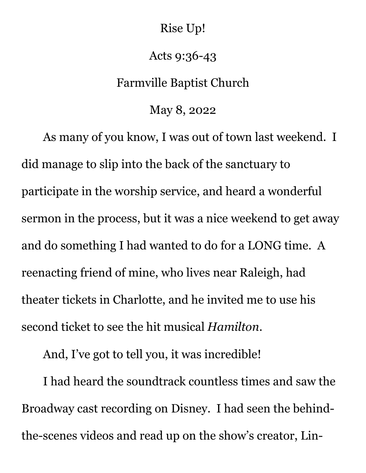## Rise Up!

## Acts 9:36-43

## Farmville Baptist Church

May 8, 2022

As many of you know, I was out of town last weekend. I did manage to slip into the back of the sanctuary to participate in the worship service, and heard a wonderful sermon in the process, but it was a nice weekend to get away and do something I had wanted to do for a LONG time. A reenacting friend of mine, who lives near Raleigh, had theater tickets in Charlotte, and he invited me to use his second ticket to see the hit musical *Hamilton*.

And, I've got to tell you, it was incredible!

I had heard the soundtrack countless times and saw the Broadway cast recording on Disney. I had seen the behindthe-scenes videos and read up on the show's creator, Lin-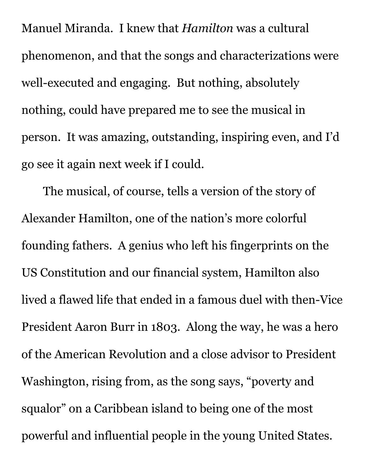Manuel Miranda. I knew that *Hamilton* was a cultural phenomenon, and that the songs and characterizations were well-executed and engaging. But nothing, absolutely nothing, could have prepared me to see the musical in person. It was amazing, outstanding, inspiring even, and I'd go see it again next week if I could.

The musical, of course, tells a version of the story of Alexander Hamilton, one of the nation's more colorful founding fathers. A genius who left his fingerprints on the US Constitution and our financial system, Hamilton also lived a flawed life that ended in a famous duel with then-Vice President Aaron Burr in 1803. Along the way, he was a hero of the American Revolution and a close advisor to President Washington, rising from, as the song says, "poverty and squalor" on a Caribbean island to being one of the most powerful and influential people in the young United States.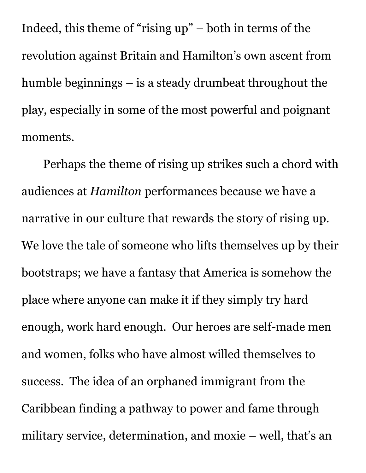Indeed, this theme of "rising up" – both in terms of the revolution against Britain and Hamilton's own ascent from humble beginnings – is a steady drumbeat throughout the play, especially in some of the most powerful and poignant moments.

Perhaps the theme of rising up strikes such a chord with audiences at *Hamilton* performances because we have a narrative in our culture that rewards the story of rising up. We love the tale of someone who lifts themselves up by their bootstraps; we have a fantasy that America is somehow the place where anyone can make it if they simply try hard enough, work hard enough. Our heroes are self-made men and women, folks who have almost willed themselves to success. The idea of an orphaned immigrant from the Caribbean finding a pathway to power and fame through military service, determination, and moxie – well, that's an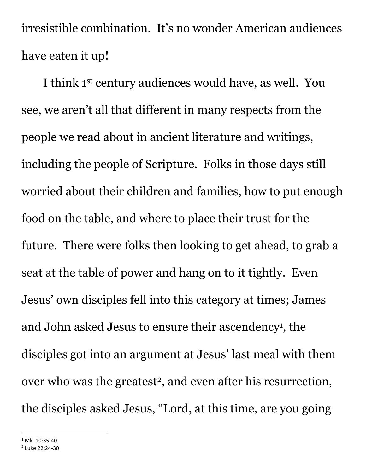irresistible combination. It's no wonder American audiences have eaten it up!

I think 1st century audiences would have, as well. You see, we aren't all that different in many respects from the people we read about in ancient literature and writings, including the people of Scripture. Folks in those days still worried about their children and families, how to put enough food on the table, and where to place their trust for the future. There were folks then looking to get ahead, to grab a seat at the table of power and hang on to it tightly. Even Jesus' own disciples fell into this category at times; James and John asked Jesus to ensure their ascendency<sup>1</sup> , the disciples got into an argument at Jesus' last meal with them over who was the greatest<sup>2</sup>, and even after his resurrection, the disciples asked Jesus, "Lord, at this time, are you going

 $1$  Mk. 10:35-40

<sup>2</sup> Luke 22:24-30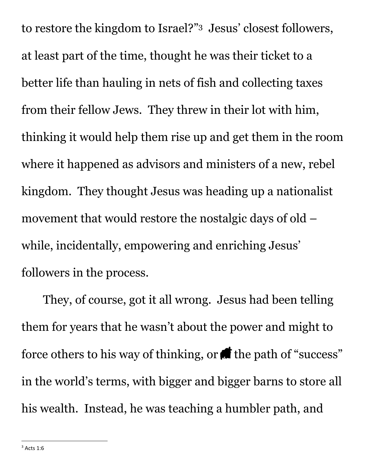to restore the kingdom to Israel?"<sup>3</sup> Jesus' closest followers, at least part of the time, thought he was their ticket to a better life than hauling in nets of fish and collecting taxes from their fellow Jews. They threw in their lot with him, thinking it would help them rise up and get them in the room where it happened as advisors and ministers of a new, rebel kingdom. They thought Jesus was heading up a nationalist movement that would restore the nostalgic days of old – while, incidentally, empowering and enriching Jesus' followers in the process.

They, of course, got it all wrong. Jesus had been telling them for years that he wasn't about the power and might to force others to his way of thinking, or  $\blacksquare$  the path of "success" in the world's terms, with bigger and bigger barns to store all his wealth. Instead, he was teaching a humbler path, and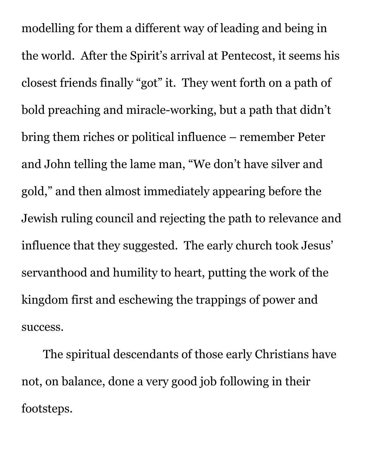modelling for them a different way of leading and being in the world. After the Spirit's arrival at Pentecost, it seems his closest friends finally "got" it. They went forth on a path of bold preaching and miracle-working, but a path that didn't bring them riches or political influence – remember Peter and John telling the lame man, "We don't have silver and gold," and then almost immediately appearing before the Jewish ruling council and rejecting the path to relevance and influence that they suggested. The early church took Jesus' servanthood and humility to heart, putting the work of the kingdom first and eschewing the trappings of power and success.

The spiritual descendants of those early Christians have not, on balance, done a very good job following in their footsteps.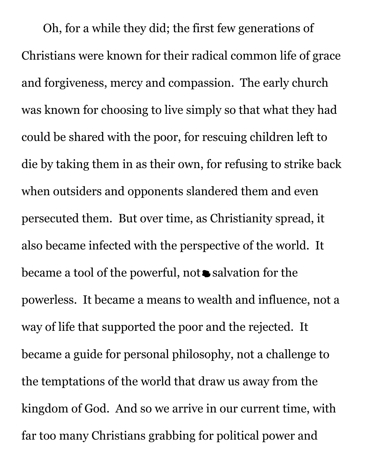Oh, for a while they did; the first few generations of Christians were known for their radical common life of grace and forgiveness, mercy and compassion. The early church was known for choosing to live simply so that what they had could be shared with the poor, for rescuing children left to die by taking them in as their own, for refusing to strike back when outsiders and opponents slandered them and even persecuted them. But over time, as Christianity spread, it also became infected with the perspective of the world. It became a tool of the powerful, not  $\bullet$  salvation for the powerless. It became a means to wealth and influence, not a way of life that supported the poor and the rejected. It became a guide for personal philosophy, not a challenge to the temptations of the world that draw us away from the kingdom of God. And so we arrive in our current time, with far too many Christians grabbing for political power and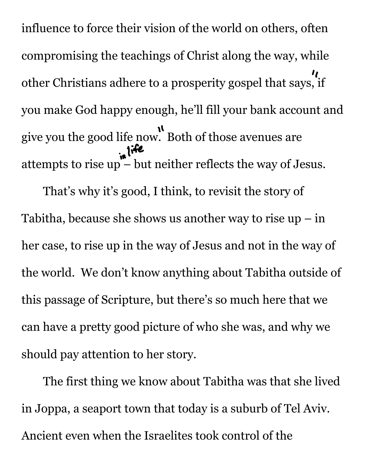influence to force their vision of the world on others, often compromising the teachings of Christ along the way, while other Christians adhere to a prosperity gospel that says, if you make God happy enough, he'll fill your bank account and give you the good life now. Both of those avenues are attempts to rise up  $\ddot{\hspace{0.2cm}}$  but neither reflects the way of Jesus.

That's why it's good, I think, to revisit the story of Tabitha, because she shows us another way to rise up  $-$  in her case, to rise up in the way of Jesus and not in the way of the world. We don't know anything about Tabitha outside of this passage of Scripture, but there's so much here that we can have a pretty good picture of who she was, and why we should pay attention to her story.

The first thing we know about Tabitha was that she lived in Joppa, a seaport town that today is a suburb of Tel Aviv. Ancient even when the Israelites took control of the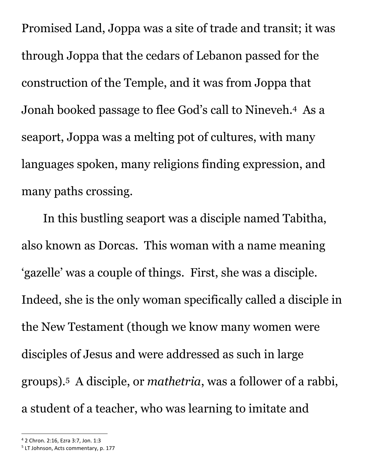Promised Land, Joppa was a site of trade and transit; it was through Joppa that the cedars of Lebanon passed for the construction of the Temple, and it was from Joppa that Jonah booked passage to flee God's call to Nineveh.<sup>4</sup> As a seaport, Joppa was a melting pot of cultures, with many languages spoken, many religions finding expression, and many paths crossing.

In this bustling seaport was a disciple named Tabitha, also known as Dorcas. This woman with a name meaning 'gazelle' was a couple of things. First, she was a disciple. Indeed, she is the only woman specifically called a disciple in the New Testament (though we know many women were disciples of Jesus and were addressed as such in large groups).<sup>5</sup> A disciple, or *mathetria*, was a follower of a rabbi, a student of a teacher, who was learning to imitate and

<sup>4</sup> 2 Chron. 2:16, Ezra 3:7, Jon. 1:3

<sup>5</sup> LT Johnson, Acts commentary, p. 177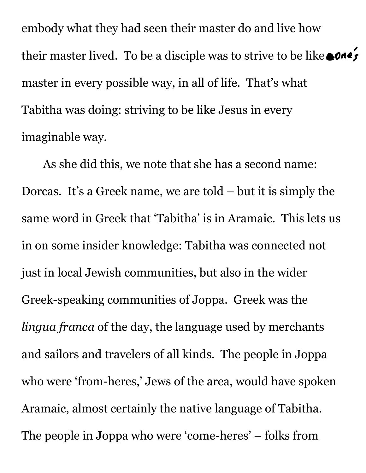embody what they had seen their master do and live how their master lived. To be a disciple was to strive to be like **cone**s master in every possible way, in all of life. That's what Tabitha was doing: striving to be like Jesus in every imaginable way.

As she did this, we note that she has a second name: Dorcas. It's a Greek name, we are told – but it is simply the same word in Greek that 'Tabitha' is in Aramaic. This lets us in on some insider knowledge: Tabitha was connected not just in local Jewish communities, but also in the wider Greek-speaking communities of Joppa. Greek was the *lingua franca* of the day, the language used by merchants and sailors and travelers of all kinds. The people in Joppa who were 'from-heres,' Jews of the area, would have spoken Aramaic, almost certainly the native language of Tabitha. The people in Joppa who were 'come-heres' – folks from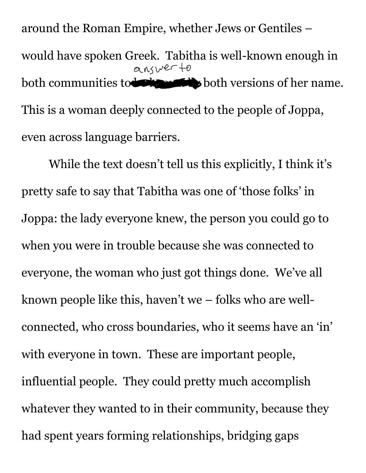around the Roman Empire, whether Jews or Gentiles – would have spoken Greek. Tabitha is well-known enough in  $\alpha_{\text{MSE}}$ both communities to be the state both versions of her name. This is a woman deeply connected to the people of Joppa, even across language barriers.

 While the text doesn't tell us this explicitly, I think it's pretty safe to say that Tabitha was one of 'those folks' in Joppa: the lady everyone knew, the person you could go to when you were in trouble because she was connected to everyone, the woman who just got things done. We've all known people like this, haven't we – folks who are wellconnected, who cross boundaries, who it seems have an 'in' with everyone in town. These are important people, influential people. They could pretty much accomplish whatever they wanted to in their community, because they had spent years forming relationships, bridging gaps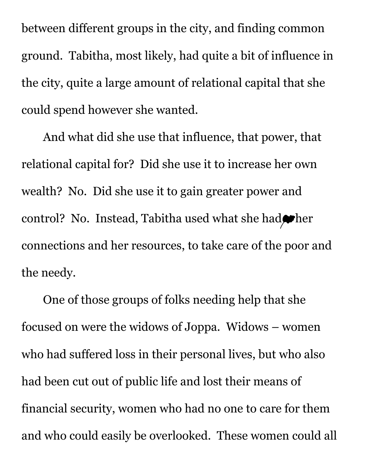between different groups in the city, and finding common ground. Tabitha, most likely, had quite a bit of influence in the city, quite a large amount of relational capital that she could spend however she wanted.

And what did she use that influence, that power, that relational capital for? Did she use it to increase her own wealth? No. Did she use it to gain greater power and control? No. Instead, Tabitha used what she had wher connections and her resources, to take care of the poor and the needy.

One of those groups of folks needing help that she focused on were the widows of Joppa. Widows – women who had suffered loss in their personal lives, but who also had been cut out of public life and lost their means of financial security, women who had no one to care for them and who could easily be overlooked. These women could all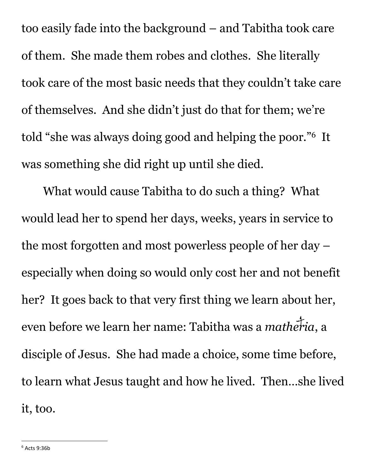too easily fade into the background – and Tabitha took care of them. She made them robes and clothes. She literally took care of the most basic needs that they couldn't take care of themselves. And she didn't just do that for them; we're told "she was always doing good and helping the poor."<sup>6</sup> It was something she did right up until she died.

What would cause Tabitha to do such a thing? What would lead her to spend her days, weeks, years in service to the most forgotten and most powerless people of her day – especially when doing so would only cost her and not benefit her? It goes back to that very first thing we learn about her, even before we learn her name: Tabitha was a *matheria*. a disciple of Jesus. She had made a choice, some time before, to learn what Jesus taught and how he lived. Then…she lived it, too.

<sup>6</sup> Acts 9:36b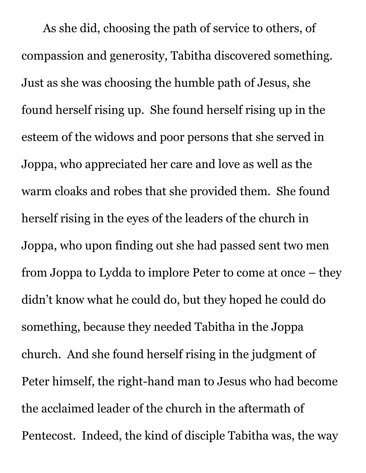As she did, choosing the path of service to others, of compassion and generosity, Tabitha discovered something. Just as she was choosing the humble path of Jesus, she found herself rising up. She found herself rising up in the esteem of the widows and poor persons that she served in Joppa, who appreciated her care and love as well as the warm cloaks and robes that she provided them. She found herself rising in the eyes of the leaders of the church in Joppa, who upon finding out she had passed sent two men from Joppa to Lydda to implore Peter to come at once – they didn't know what he could do, but they hoped he could do something, because they needed Tabitha in the Joppa church. And she found herself rising in the judgment of Peter himself, the right-hand man to Jesus who had become the acclaimed leader of the church in the aftermath of Pentecost. Indeed, the kind of disciple Tabitha was, the way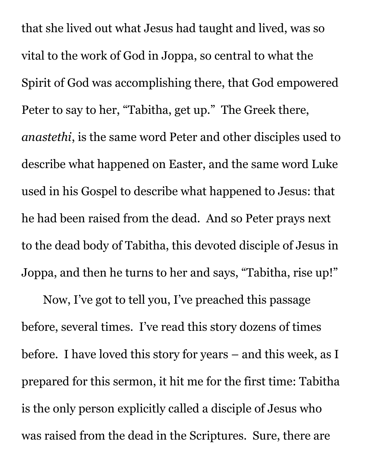that she lived out what Jesus had taught and lived, was so vital to the work of God in Joppa, so central to what the Spirit of God was accomplishing there, that God empowered Peter to say to her, "Tabitha, get up." The Greek there, *anastethi*, is the same word Peter and other disciples used to describe what happened on Easter, and the same word Luke used in his Gospel to describe what happened to Jesus: that he had been raised from the dead. And so Peter prays next to the dead body of Tabitha, this devoted disciple of Jesus in Joppa, and then he turns to her and says, "Tabitha, rise up!"

Now, I've got to tell you, I've preached this passage before, several times. I've read this story dozens of times before. I have loved this story for years – and this week, as I prepared for this sermon, it hit me for the first time: Tabitha is the only person explicitly called a disciple of Jesus who was raised from the dead in the Scriptures. Sure, there are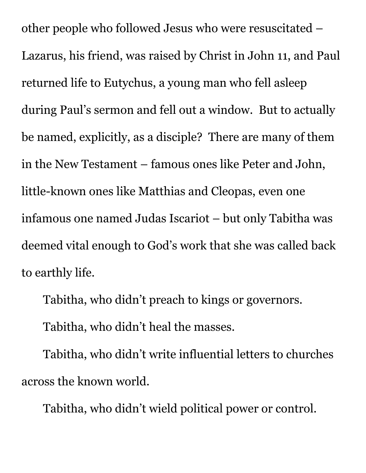other people who followed Jesus who were resuscitated – Lazarus, his friend, was raised by Christ in John 11, and Paul returned life to Eutychus, a young man who fell asleep during Paul's sermon and fell out a window. But to actually be named, explicitly, as a disciple? There are many of them in the New Testament – famous ones like Peter and John, little-known ones like Matthias and Cleopas, even one infamous one named Judas Iscariot – but only Tabitha was deemed vital enough to God's work that she was called back to earthly life.

Tabitha, who didn't preach to kings or governors.

Tabitha, who didn't heal the masses.

Tabitha, who didn't write influential letters to churches across the known world.

Tabitha, who didn't wield political power or control.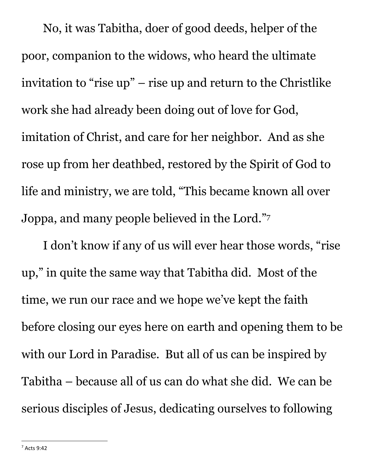No, it was Tabitha, doer of good deeds, helper of the poor, companion to the widows, who heard the ultimate invitation to "rise up" – rise up and return to the Christlike work she had already been doing out of love for God, imitation of Christ, and care for her neighbor. And as she rose up from her deathbed, restored by the Spirit of God to life and ministry, we are told, "This became known all over Joppa, and many people believed in the Lord."<sup>7</sup>

I don't know if any of us will ever hear those words, "rise up," in quite the same way that Tabitha did. Most of the time, we run our race and we hope we've kept the faith before closing our eyes here on earth and opening them to be with our Lord in Paradise. But all of us can be inspired by Tabitha – because all of us can do what she did. We can be serious disciples of Jesus, dedicating ourselves to following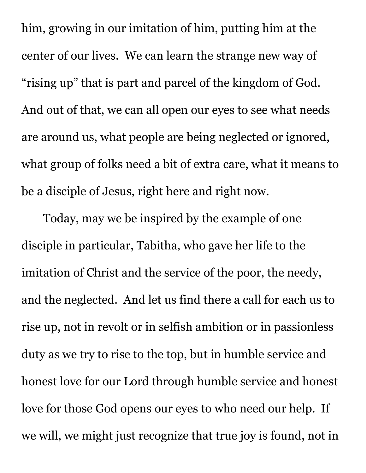him, growing in our imitation of him, putting him at the center of our lives. We can learn the strange new way of "rising up" that is part and parcel of the kingdom of God. And out of that, we can all open our eyes to see what needs are around us, what people are being neglected or ignored, what group of folks need a bit of extra care, what it means to be a disciple of Jesus, right here and right now.

Today, may we be inspired by the example of one disciple in particular, Tabitha, who gave her life to the imitation of Christ and the service of the poor, the needy, and the neglected. And let us find there a call for each us to rise up, not in revolt or in selfish ambition or in passionless duty as we try to rise to the top, but in humble service and honest love for our Lord through humble service and honest love for those God opens our eyes to who need our help. If we will, we might just recognize that true joy is found, not in